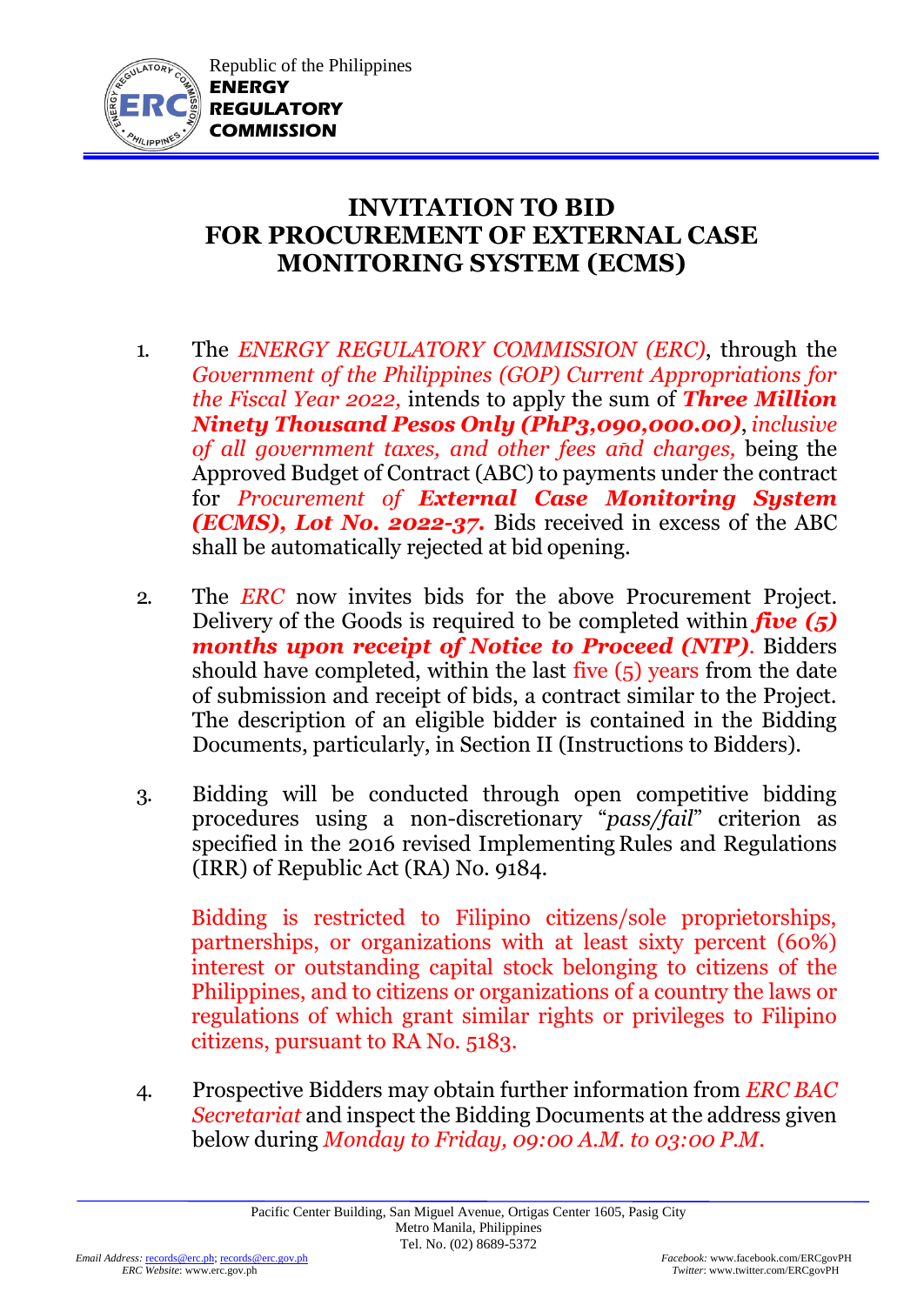

## **INVITATION TO BID FOR PROCUREMENT OF EXTERNAL CASE MONITORING SYSTEM (ECMS)**

- 1. The *ENERGY REGULATORY COMMISSION (ERC)*, through the *Government of the Philippines (GOP) Current Appropriations for the Fiscal Year 2022,* intends to apply the sum of *Three Million Ninety Thousand Pesos Only (PhP3,090,000.00)*, *inclusive of all government taxes, and other fees and charges,* being the Approved Budget of Contract (ABC) to payments under the contract for *Procurement of External Case Monitoring System (ECMS), Lot No. 2022-37.* Bids received in excess of the ABC shall be automatically rejected at bid opening.
- 2. The *ERC* now invites bids for the above Procurement Project. Delivery of the Goods is required to be completed within *five (5) months upon receipt of Notice to Proceed (NTP)*. Bidders should have completed, within the last five  $(5)$  years from the date of submission and receipt of bids, a contract similar to the Project. The description of an eligible bidder is contained in the Bidding Documents, particularly, in Section II (Instructions to Bidders).
- 3. Bidding will be conducted through open competitive bidding procedures using a non-discretionary "*pass/fail*" criterion as specified in the 2016 revised Implementing Rules and Regulations (IRR) of Republic Act (RA) No. 9184.

Bidding is restricted to Filipino citizens/sole proprietorships, partnerships, or organizations with at least sixty percent (60%) interest or outstanding capital stock belonging to citizens of the Philippines, and to citizens or organizations of a country the laws or regulations of which grant similar rights or privileges to Filipino citizens, pursuant to RA No. 5183.

4. Prospective Bidders may obtain further information from *ERC BAC Secretariat* and inspect the Bidding Documents at the address given below during *Monday to Friday, 09:00 A.M. to 03:00 P.M*.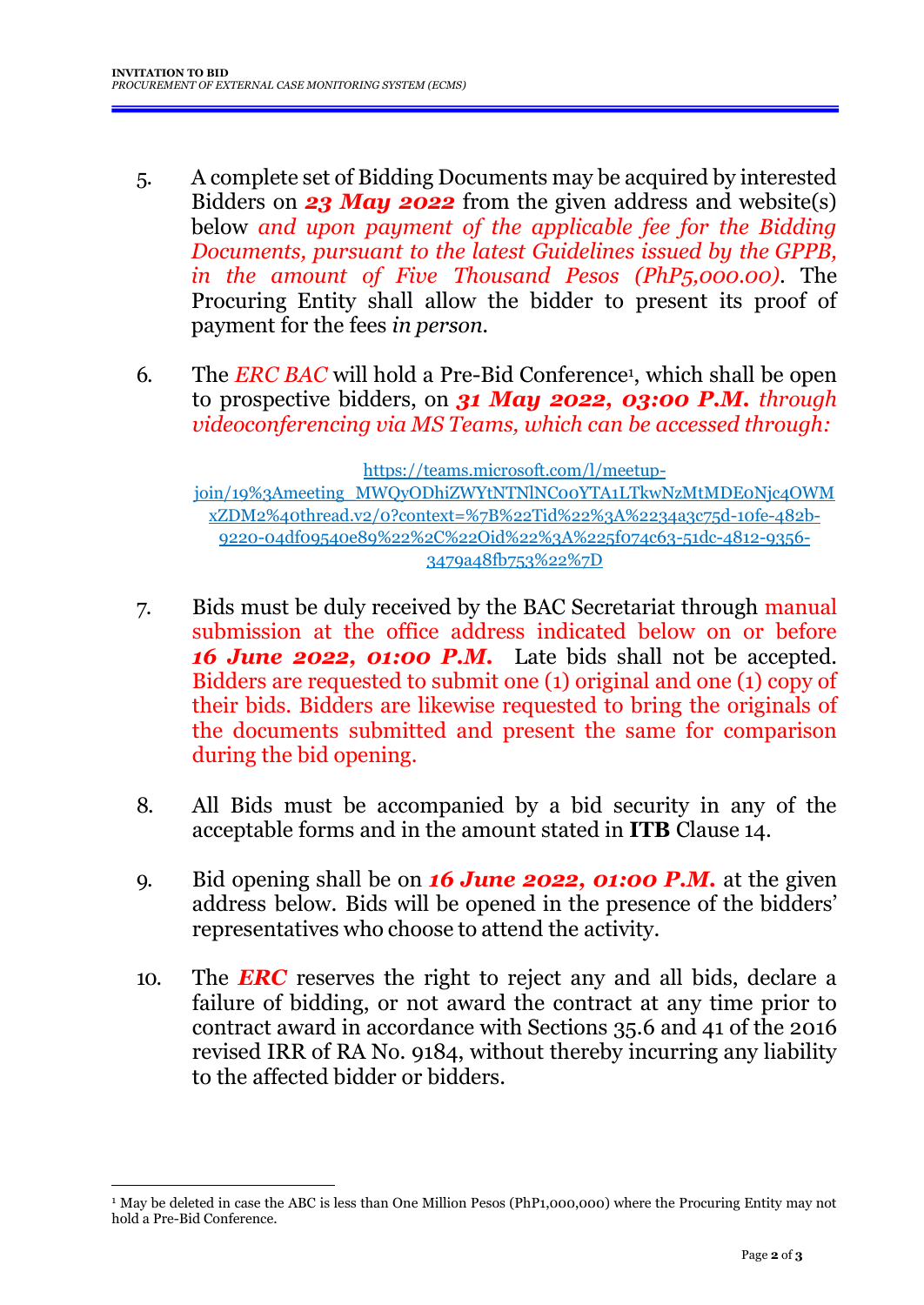- 5. A complete set of Bidding Documents may be acquired by interested Bidders on *23 May 2022* from the given address and website(s) below *and upon payment of the applicable fee for the Bidding Documents, pursuant to the latest Guidelines issued by the GPPB, in the amount of Five Thousand Pesos (PhP5,000.00)*. The Procuring Entity shall allow the bidder to present its proof of payment for the fees *in person.*
- 6. The *ERC BAC* will hold a Pre-Bid Conference<sup>1</sup>, which shall be open to prospective bidders, on *31 May 2022, 03:00 P.M. through videoconferencing via MS Teams, which can be accessed through:*

[https://teams.microsoft.com/l/meetup](https://teams.microsoft.com/l/meetup-join/19%3Ameeting_MWQyODhiZWYtNTNlNC00YTA1LTkwNzMtMDE0Njc4OWMxZDM2%40thread.v2/0?context=%7B%22Tid%22%3A%2234a3c75d-10fe-482b-9220-04df09540e89%22%2C%22Oid%22%3A%225f074c63-51dc-4812-9356-3479a48fb753%22%7D)[join/19%3Ameeting\\_MWQyODhiZWYtNTNlNC00YTA1LTkwNzMtMDE0Njc4OWM](https://teams.microsoft.com/l/meetup-join/19%3Ameeting_MWQyODhiZWYtNTNlNC00YTA1LTkwNzMtMDE0Njc4OWMxZDM2%40thread.v2/0?context=%7B%22Tid%22%3A%2234a3c75d-10fe-482b-9220-04df09540e89%22%2C%22Oid%22%3A%225f074c63-51dc-4812-9356-3479a48fb753%22%7D) [xZDM2%40thread.v2/0?context=%7B%22Tid%22%3A%2234a3c75d-10fe-482b-](https://teams.microsoft.com/l/meetup-join/19%3Ameeting_MWQyODhiZWYtNTNlNC00YTA1LTkwNzMtMDE0Njc4OWMxZDM2%40thread.v2/0?context=%7B%22Tid%22%3A%2234a3c75d-10fe-482b-9220-04df09540e89%22%2C%22Oid%22%3A%225f074c63-51dc-4812-9356-3479a48fb753%22%7D)[9220-04df09540e89%22%2C%22Oid%22%3A%225f074c63-51dc-4812-9356-](https://teams.microsoft.com/l/meetup-join/19%3Ameeting_MWQyODhiZWYtNTNlNC00YTA1LTkwNzMtMDE0Njc4OWMxZDM2%40thread.v2/0?context=%7B%22Tid%22%3A%2234a3c75d-10fe-482b-9220-04df09540e89%22%2C%22Oid%22%3A%225f074c63-51dc-4812-9356-3479a48fb753%22%7D) [3479a48fb753%22%7D](https://teams.microsoft.com/l/meetup-join/19%3Ameeting_MWQyODhiZWYtNTNlNC00YTA1LTkwNzMtMDE0Njc4OWMxZDM2%40thread.v2/0?context=%7B%22Tid%22%3A%2234a3c75d-10fe-482b-9220-04df09540e89%22%2C%22Oid%22%3A%225f074c63-51dc-4812-9356-3479a48fb753%22%7D)

- 7. Bids must be duly received by the BAC Secretariat through manual submission at the office address indicated below on or before *16 June 2022, 01:00 P.M.* Late bids shall not be accepted. Bidders are requested to submit one (1) original and one (1) copy of their bids. Bidders are likewise requested to bring the originals of the documents submitted and present the same for comparison during the bid opening.
- 8. All Bids must be accompanied by a bid security in any of the acceptable forms and in the amount stated in **ITB** Clause 14.
- 9. Bid opening shall be on *16 June 2022, 01:00 P.M.* at the given address below. Bids will be opened in the presence of the bidders' representatives who choose to attend the activity.
- 10. The *ERC* reserves the right to reject any and all bids, declare a failure of bidding, or not award the contract at any time prior to contract award in accordance with Sections 35.6 and 41 of the 2016 revised IRR of RA No. 9184, without thereby incurring any liability to the affected bidder or bidders.

<sup>&</sup>lt;sup>1</sup> May be deleted in case the ABC is less than One Million Pesos (PhP1,000,000) where the Procuring Entity may not hold a Pre-Bid Conference.